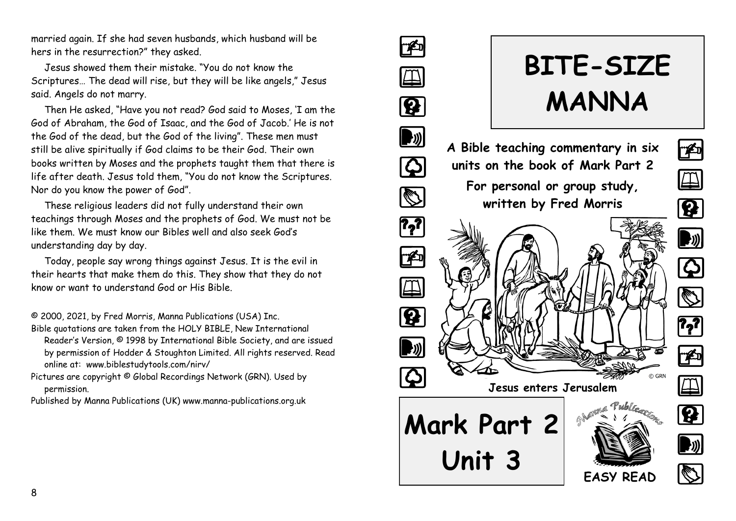married again. If she had seven husbands, which husband will be hers in the resurrection?" they asked.

Jesus showed them their mistake. "You do not know the Scriptures… The dead will rise, but they will be like angels," Jesus said. Angels do not marry.

Then He asked, "Have you not read? God said to Moses, 'I am the God of Abraham, the God of Isaac, and the God of Jacob.' He is not the God of the dead, but the God of the living". These men must still be alive spiritually if God claims to be their God. Their own books written by Moses and the prophets taught them that there is life after death. Jesus told them, "You do not know the Scriptures. Nor do you know the power of God".

These religious leaders did not fully understand their own teachings through Moses and the prophets of God. We must not be like them. We must know our Bibles well and also seek God's understanding day by day.

Today, people say wrong things against Jesus. It is the evil in their hearts that make them do this. They show that they do not know or want to understand God or His Bible.

© 2000, 2021, by Fred Morris, Manna Publications (USA) Inc.

- Bible quotations are taken from the HOLY BIBLE, New International Reader's Version, © 1998 by International Bible Society, and are issued by permission of Hodder & Stoughton Limited. All rights reserved. Read online at: www.biblestudytools.com/nirv/
- Pictures are copyright © Global Recordings Network (GRN). Used by permission.

Published by Manna Publications (UK) www.manna-publications.org.uk

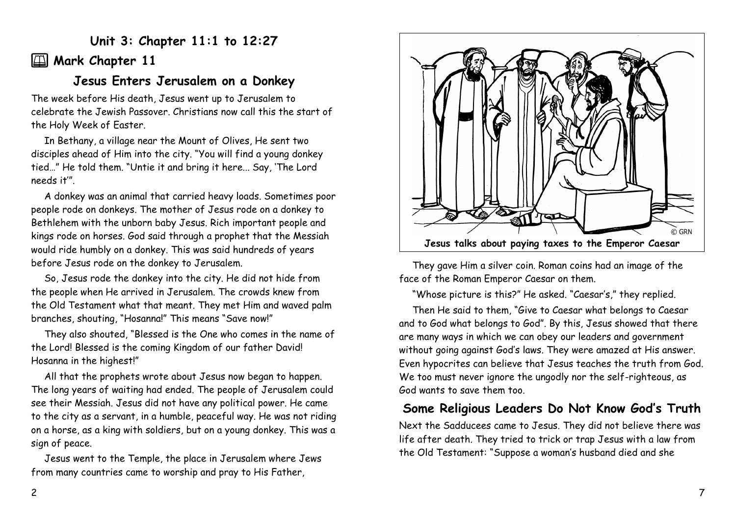# **Unit 3: Chapter 11:1 to 12:27**

# **2** Mark Chapter 11

# **Jesus Enters Jerusalem on a Donkey**

The week before His death, Jesus went up to Jerusalem to celebrate the Jewish Passover. Christians now call this the start of the Holy Week of Easter.

In Bethany, a village near the Mount of Olives, He sent two disciples ahead of Him into the city. "You will find a young donkey tied…" He told them. "Untie it and bring it here... Say, 'The Lord needs it'".

A donkey was an animal that carried heavy loads. Sometimes poor people rode on donkeys. The mother of Jesus rode on a donkey to Bethlehem with the unborn baby Jesus. Rich important people and kings rode on horses. God said through a prophet that the Messiah would ride humbly on a donkey. This was said hundreds of years before Jesus rode on the donkey to Jerusalem.

So, Jesus rode the donkey into the city. He did not hide from the people when He arrived in Jerusalem. The crowds knew from the Old Testament what that meant. They met Him and waved palm branches, shouting, "Hosanna!" This means "Save now!"

They also shouted, "Blessed is the One who comes in the name of the Lord! Blessed is the coming Kingdom of our father David! Hosanna in the highest!"

All that the prophets wrote about Jesus now began to happen. The long years of waiting had ended. The people of Jerusalem could see their Messiah. Jesus did not have any political power. He came to the city as a servant, in a humble, peaceful way. He was not riding on a horse, as a king with soldiers, but on a young donkey. This was a sign of peace.

Jesus went to the Temple, the place in Jerusalem where Jews from many countries came to worship and pray to His Father,



They gave Him a silver coin. Roman coins had an image of the face of the Roman Emperor Caesar on them.

"Whose picture is this?" He asked. "Caesar's," they replied.

Then He said to them, "Give to Caesar what belongs to Caesar and to God what belongs to God". By this, Jesus showed that there are many ways in which we can obey our leaders and government without going against God's laws. They were amazed at His answer. Even hypocrites can believe that Jesus teaches the truth from God. We too must never ignore the ungodly nor the self-righteous, as God wants to save them too.

# **Some Religious Leaders Do Not Know God's Truth**

Next the Sadducees came to Jesus. They did not believe there was life after death. They tried to trick or trap Jesus with a law from the Old Testament: "Suppose a woman's husband died and she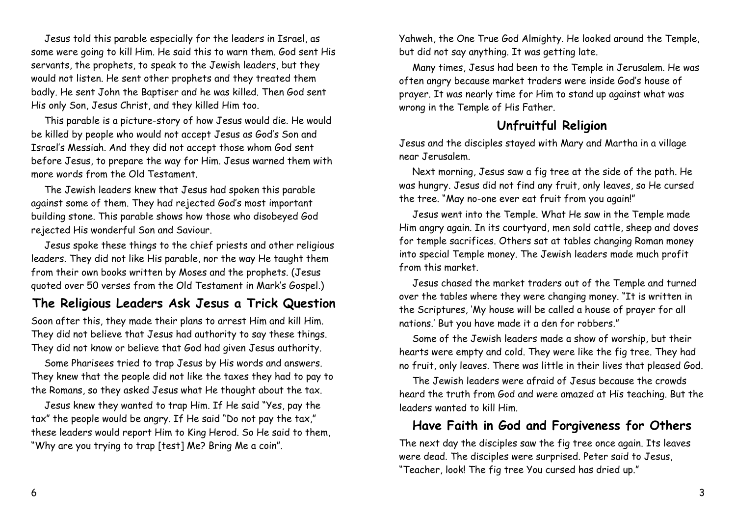Jesus told this parable especially for the leaders in Israel, as some were going to kill Him. He said this to warn them. God sent His servants, the prophets, to speak to the Jewish leaders, but they would not listen. He sent other prophets and they treated them badly. He sent John the Baptiser and he was killed. Then God sent His only Son, Jesus Christ, and they killed Him too.

This parable is a picture-story of how Jesus would die. He would be killed by people who would not accept Jesus as God's Son and Israel's Messiah. And they did not accept those whom God sent before Jesus, to prepare the way for Him. Jesus warned them with more words from the Old Testament.

The Jewish leaders knew that Jesus had spoken this parable against some of them. They had rejected God's most important building stone. This parable shows how those who disobeyed God rejected His wonderful Son and Saviour.

Jesus spoke these things to the chief priests and other religious leaders. They did not like His parable, nor the way He taught them from their own books written by Moses and the prophets. (Jesus quoted over 50 verses from the Old Testament in Mark's Gospel.)

### **The Religious Leaders Ask Jesus a Trick Question**

Soon after this, they made their plans to arrest Him and kill Him. They did not believe that Jesus had authority to say these things. They did not know or believe that God had given Jesus authority.

Some Pharisees tried to trap Jesus by His words and answers. They knew that the people did not like the taxes they had to pay to the Romans, so they asked Jesus what He thought about the tax.

Jesus knew they wanted to trap Him. If He said "Yes, pay the tax" the people would be angry. If He said "Do not pay the tax," these leaders would report Him to King Herod. So He said to them, "Why are you trying to trap [test] Me? Bring Me a coin".

Yahweh, the One True God Almighty. He looked around the Temple, but did not say anything. It was getting late.

Many times, Jesus had been to the Temple in Jerusalem. He was often angry because market traders were inside God's house of prayer. It was nearly time for Him to stand up against what was wrong in the Temple of His Father.

# **Unfruitful Religion**

Jesus and the disciples stayed with Mary and Martha in a village near Jerusalem.

Next morning, Jesus saw a fig tree at the side of the path. He was hungry. Jesus did not find any fruit, only leaves, so He cursed the tree. "May no-one ever eat fruit from you again!"

Jesus went into the Temple. What He saw in the Temple made Him angry again. In its courtyard, men sold cattle, sheep and doves for temple sacrifices. Others sat at tables changing Roman money into special Temple money. The Jewish leaders made much profit from this market.

Jesus chased the market traders out of the Temple and turned over the tables where they were changing money. "It is written in the Scriptures, 'My house will be called a house of prayer for all nations.' But you have made it a den for robbers."

Some of the Jewish leaders made a show of worship, but their hearts were empty and cold. They were like the fig tree. They had no fruit, only leaves. There was little in their lives that pleased God.

The Jewish leaders were afraid of Jesus because the crowds heard the truth from God and were amazed at His teaching. But the leaders wanted to kill Him.

### **Have Faith in God and Forgiveness for Others**

The next day the disciples saw the fig tree once again. Its leaves were dead. The disciples were surprised. Peter said to Jesus, "Teacher, look! The fig tree You cursed has dried up."